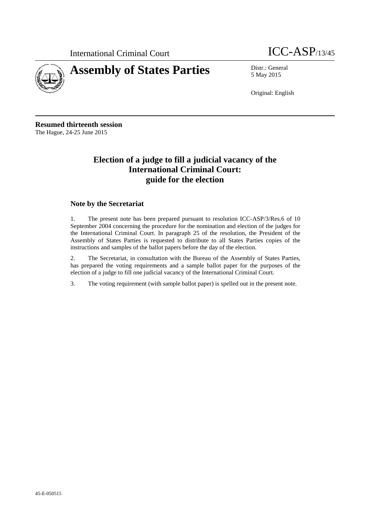



5 May 2015

Original: English

**Resumed thirteenth session** The Hague, 24-25 June 2015

### **Election of a judge to fill a judicial vacancy of the International Criminal Court: guide for the election**

#### **Note by the Secretariat**

1. The present note has been prepared pursuant to resolution ICC-ASP/3/Res.6 of 10 September 2004 concerning the procedure for the nomination and election of the judges for the International Criminal Court. In paragraph 25 of the resolution, the President of the Assembly of States Parties is requested to distribute to all States Parties copies of the instructions and samples of the ballot papers before the day of the election.

2. The Secretariat, in consultation with the Bureau of the Assembly of States Parties, has prepared the voting requirements and a sample ballot paper for the purposes of the election of a judge to fill one judicial vacancy of the International Criminal Court.

3. The voting requirement (with sample ballot paper) is spelled out in the present note.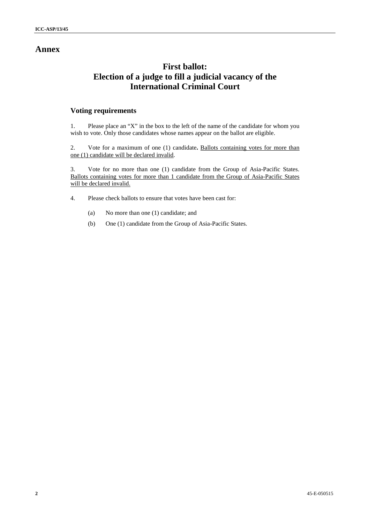### **Annex**

## **First ballot: Election of a judge to fill a judicial vacancy of the International Criminal Court**

#### **Voting requirements**

1. Please place an "X" in the box to the left of the name of the candidate for whom you wish to vote. Only those candidates whose names appear on the ballot are eligible.

2. Vote for a maximum of one (1) candidate**.** Ballots containing votes for more than one (1) candidate will be declared invalid.

3. Vote for no more than one (1) candidate from the Group of Asia-Pacific States. Ballots containing votes for more than 1 candidate from the Group of Asia-Pacific States will be declared invalid.

- 4. Please check ballots to ensure that votes have been cast for:
	- (a) No more than one (1) candidate; and
	- (b) One (1) candidate from the Group of Asia-Pacific States.